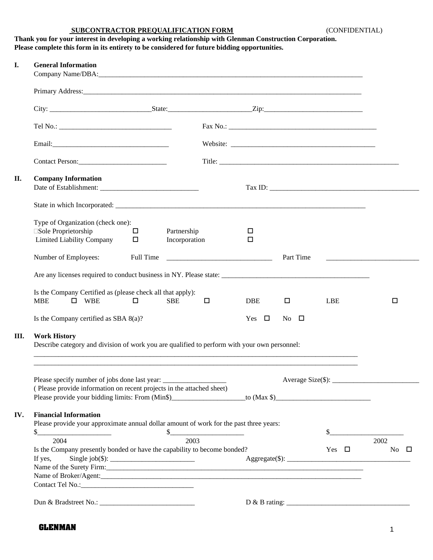## **SUBCONTRACTOR PREQUALIFICATION FORM** (CONFIDENTIAL)

|                                                                                              | Thank you for your interest in developing a working relationship with Glenman Construction Corporation. |  |  |  |  |  |
|----------------------------------------------------------------------------------------------|---------------------------------------------------------------------------------------------------------|--|--|--|--|--|
| Please complete this form in its entirety to be considered for future bidding opportunities. |                                                                                                         |  |  |  |  |  |
|                                                                                              |                                                                                                         |  |  |  |  |  |
|                                                                                              | <b>General Information</b>                                                                              |  |  |  |  |  |
|                                                                                              | Company Name/DBA:                                                                                       |  |  |  |  |  |

|             | <b>Company Information</b>                                                                   |           |               |   |            |             |           |            |                                                                            |  |
|-------------|----------------------------------------------------------------------------------------------|-----------|---------------|---|------------|-------------|-----------|------------|----------------------------------------------------------------------------|--|
|             |                                                                                              |           |               |   |            |             |           |            |                                                                            |  |
|             | Type of Organization (check one):                                                            |           |               |   |            |             |           |            |                                                                            |  |
|             | □Sole Proprietorship                                                                         | $\Box$    | Partnership   |   | □          |             |           |            |                                                                            |  |
|             | Limited Liability Company                                                                    | $\Box$    | Incorporation |   | $\Box$     |             |           |            |                                                                            |  |
|             | Number of Employees:                                                                         | Full Time |               |   |            |             | Part Time |            | the control of the control of the control of the control of the control of |  |
|             |                                                                                              |           |               |   |            |             |           |            |                                                                            |  |
|             |                                                                                              |           |               |   |            |             |           |            |                                                                            |  |
|             | Is the Company Certified as (please check all that apply):<br><b>MBE</b><br>$\square$ WBE    | 0         | <b>SBE</b>    | □ | <b>DBE</b> | $\Box$      |           | LBE        | □                                                                          |  |
|             | Is the Company certified as SBA $8(a)$ ?                                                     |           |               |   | Yes $\Box$ | $No$ $\Box$ |           |            |                                                                            |  |
|             |                                                                                              |           |               |   |            |             |           |            |                                                                            |  |
|             | <b>Work History</b>                                                                          |           |               |   |            |             |           |            |                                                                            |  |
|             | Describe category and division of work you are qualified to perform with your own personnel: |           |               |   |            |             |           |            |                                                                            |  |
|             |                                                                                              |           |               |   |            |             |           |            |                                                                            |  |
|             |                                                                                              |           |               |   |            |             |           |            | $Average Size(\text{\textsterling})$ :                                     |  |
|             | (Please provide information on recent projects in the attached sheet)                        |           |               |   |            |             |           |            |                                                                            |  |
|             | Please provide your bidding limits: From (Min\$)________________________to (Max \$)_         |           |               |   |            |             |           |            |                                                                            |  |
|             | <b>Financial Information</b>                                                                 |           |               |   |            |             |           |            |                                                                            |  |
|             | Please provide your approximate annual dollar amount of work for the past three years:       |           |               |   |            |             |           |            |                                                                            |  |
|             | $\frac{1}{2}$                                                                                |           | \$            |   |            |             |           | \$         |                                                                            |  |
|             | 2004                                                                                         |           | 2003          |   |            |             |           |            | 2002                                                                       |  |
|             | Is the Company presently bonded or have the capability to become bonded?                     |           |               |   |            |             |           | Yes $\Box$ | No $\square$                                                               |  |
|             | If yes,                                                                                      |           |               |   |            |             |           |            | $Aggregate(\text{\$}):$                                                    |  |
|             | Name of the Surety Firm: 1997                                                                |           |               |   |            |             |           |            |                                                                            |  |
| III.<br>IV. |                                                                                              |           |               |   |            |             |           |            |                                                                            |  |
|             |                                                                                              |           |               |   |            |             |           |            |                                                                            |  |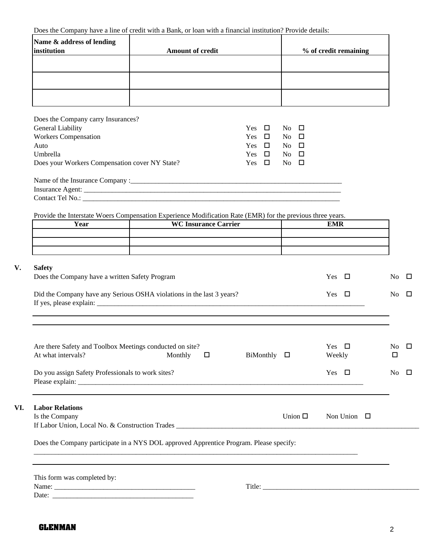| Does the Company have a line of credit with a Bank, or loan with a financial institution? Provide details: |  |  |  |  |  |  |  |  |  |
|------------------------------------------------------------------------------------------------------------|--|--|--|--|--|--|--|--|--|
|------------------------------------------------------------------------------------------------------------|--|--|--|--|--|--|--|--|--|

| Name & address of lending<br>institution | <b>Amount of credit</b> | % of credit remaining |
|------------------------------------------|-------------------------|-----------------------|
|                                          |                         |                       |
|                                          |                         |                       |
|                                          |                         |                       |

| Does the Company carry Insurances?             |               |                           |
|------------------------------------------------|---------------|---------------------------|
| General Liability                              | Yes $\Box$    | $\overline{N_{0}}$ $\Box$ |
| <b>Workers Compensation</b>                    | $\Box$<br>Yes | $No$ $\Box$               |
| Auto                                           | Yes $\Box$    | No.<br>$\Box$             |
| Umbrella                                       | Yes $\Box$    | $\overline{N_{0}}$ $\Box$ |
| Does your Workers Compensation cover NY State? | Yes $\Box$    | $\overline{N}$ $\Box$     |
| Name of the Insurance Company :                |               |                           |
|                                                |               |                           |
| Contact Tel No.:                               |               |                           |

Provide the Interstate Woers Compensation Experience Modification Rate (EMR) for the previous three years.

| Year | <b>WC Insurance Carrier</b> | <b>EMR</b> |
|------|-----------------------------|------------|
|      |                             |            |
|      |                             |            |
|      |                             |            |

| V. | Safety |
|----|--------|
|    |        |

**VI. Labor Relations**

| Safety<br>Does the Company have a written Safety Program                                                                | Yes $\Box$                       | $\overline{N}$ $\Box$      |
|-------------------------------------------------------------------------------------------------------------------------|----------------------------------|----------------------------|
| Did the Company have any Serious OSHA violations in the last 3 years?                                                   | Yes $\Box$                       | $\overline{N}$ $\Box$      |
|                                                                                                                         |                                  |                            |
| Are there Safety and Toolbox Meetings conducted on site?<br>At what intervals?<br>Monthly<br>BiMonthly $\square$<br>- 0 | Yes $\Box$<br>Weekly             | $\overline{N}$ $\Box$<br>□ |
| Do you assign Safety Professionals to work sites?                                                                       | Yes $\Box$                       | No.<br>$\Box$              |
| <b>Labor Relations</b><br>Is the Company                                                                                | Union $\Box$<br>Non Union $\Box$ |                            |
| Does the Company participate in a NYS DOL approved Apprentice Program. Please specify:                                  |                                  |                            |
| This form was completed by:                                                                                             |                                  |                            |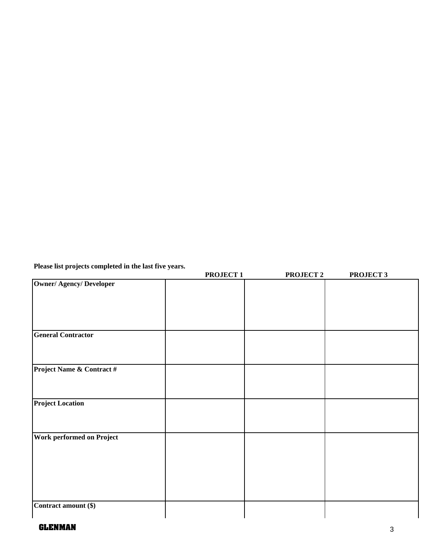**Please list projects completed in the last five years.**

|                               | PROJECT <sub>1</sub> | PROJECT <sub>2</sub> | PROJECT <sub>3</sub> |
|-------------------------------|----------------------|----------------------|----------------------|
| <b>Owner/Agency/Developer</b> |                      |                      |                      |
|                               |                      |                      |                      |
|                               |                      |                      |                      |
|                               |                      |                      |                      |
|                               |                      |                      |                      |
| <b>General Contractor</b>     |                      |                      |                      |
|                               |                      |                      |                      |
|                               |                      |                      |                      |
| Project Name & Contract #     |                      |                      |                      |
|                               |                      |                      |                      |
|                               |                      |                      |                      |
| <b>Project Location</b>       |                      |                      |                      |
|                               |                      |                      |                      |
|                               |                      |                      |                      |
|                               |                      |                      |                      |
| Work performed on Project     |                      |                      |                      |
|                               |                      |                      |                      |
|                               |                      |                      |                      |
|                               |                      |                      |                      |
|                               |                      |                      |                      |
|                               |                      |                      |                      |
| Contract amount (\$)          |                      |                      |                      |
|                               |                      |                      |                      |

## **GLENMAN** 3